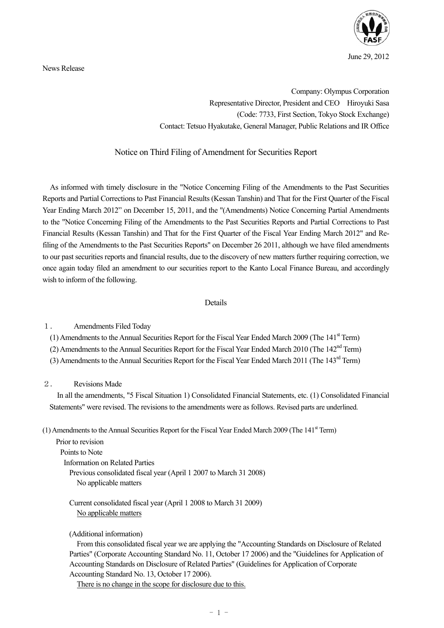June 29, 2012

News Release

Company: Olympus Corporation Representative Director, President and CEO Hiroyuki Sasa (Code: 7733, First Section, Tokyo Stock Exchange) Contact: Tetsuo Hyakutake, General Manager, Public Relations and IR Office

## Notice on Third Filing of Amendment for Securities Report

As informed with timely disclosure in the "Notice Concerning Filing of the Amendments to the Past Securities Reports and Partial Corrections to Past Financial Results (Kessan Tanshin) and That for the First Quarter of the Fiscal Year Ending March 2012" on December 15, 2011, and the "(Amendments) Notice Concerning Partial Amendments to the "Notice Concerning Filing of the Amendments to the Past Securities Reports and Partial Corrections to Past Financial Results (Kessan Tanshin) and That for the First Quarter of the Fiscal Year Ending March 2012" and Refiling of the Amendments to the Past Securities Reports" on December 26 2011, although we have filed amendments to our past securities reports and financial results, due to the discovery of new matters further requiring correction, we once again today filed an amendment to our securities report to the Kanto Local Finance Bureau, and accordingly wish to inform of the following.

## Details

1. Amendments Filed Today

(1) Amendments to the Annual Securities Report for the Fiscal Year Ended March 2009 (The  $141<sup>st</sup>$  Term)

(2) Amendments to the Annual Securities Report for the Fiscal Year Ended March 2010 (The 142nd Term)

(3) Amendments to the Annual Securities Report for the Fiscal Year Ended March 2011 (The 143rd Term)

## 2. Revisions Made

In all the amendments, "5 Fiscal Situation 1) Consolidated Financial Statements, etc. (1) Consolidated Financial Statements" were revised. The revisions to the amendments were as follows. Revised parts are underlined.

(1) Amendments to the Annual Securities Report for the Fiscal Year Ended March 2009 (The  $141<sup>st</sup>$  Term)

Prior to revision Points to Note Information on Related Parties Previous consolidated fiscal year (April 1 2007 to March 31 2008) No applicable matters

Current consolidated fiscal year (April 1 2008 to March 31 2009) No applicable matters

(Additional information)

From this consolidated fiscal year we are applying the "Accounting Standards on Disclosure of Related Parties" (Corporate Accounting Standard No. 11, October 17 2006) and the "Guidelines for Application of Accounting Standards on Disclosure of Related Parties" (Guidelines for Application of Corporate Accounting Standard No. 13, October 17 2006).

There is no change in the scope for disclosure due to this.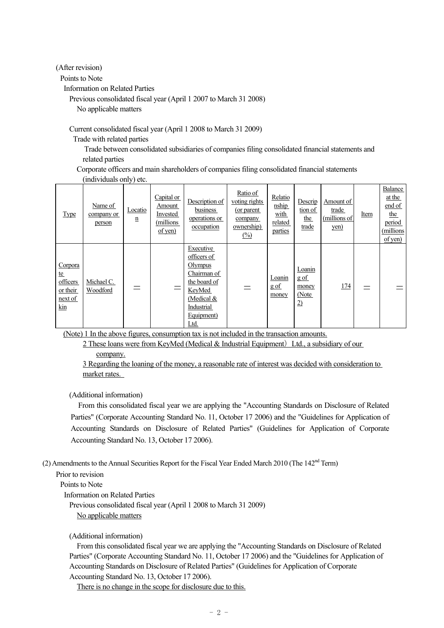(After revision)

Points to Note

Information on Related Parties

Previous consolidated fiscal year (April 1 2007 to March 31 2008)

No applicable matters

Current consolidated fiscal year (April 1 2008 to March 31 2009)

Trade with related parties

 Trade between consolidated subsidiaries of companies filing consolidated financial statements and related parties

Corporate officers and main shareholders of companies filing consolidated financial statements (individuals only) etc.

| <b>Type</b>                                                           | Name of<br>company or<br>person | Locatio<br>n | Capital or<br>Amount<br>Invested<br>(millions)<br>$of$ yen) | Description of<br>business<br>operations or<br>occupation                                                                        | Ratio of<br>voting rights<br>(or parent)<br>company<br>ownership)<br>$\frac{\binom{0}{0}}{0}$ | Relatio<br>nship<br>with<br>related<br>parties | Descrip<br>tion of<br><u>the</u><br>trade         | Amount of<br>trade<br>(millions of<br>yen) | Item | Balance<br>at the<br>end of<br><u>the</u><br>period<br>(millions)<br>$of$ yen $)$ |
|-----------------------------------------------------------------------|---------------------------------|--------------|-------------------------------------------------------------|----------------------------------------------------------------------------------------------------------------------------------|-----------------------------------------------------------------------------------------------|------------------------------------------------|---------------------------------------------------|--------------------------------------------|------|-----------------------------------------------------------------------------------|
| Corpora<br><u>te</u><br>officers<br>or their<br>next of<br><u>kin</u> | Michael C.<br>Woodford          |              |                                                             | Executive<br>officers of<br>Olympus<br>Chairman of<br>the board of<br>KeyMed<br>(Medical $&$<br>Industrial<br>Equipment)<br>Ltd. |                                                                                               | Loanin<br>gof<br>money                         | Loanin<br>gof<br>money<br>(Note<br>$\overline{2}$ | <u>174</u>                                 |      |                                                                                   |

(Note) 1 In the above figures, consumption tax is not included in the transaction amounts.

2 These loans were from KeyMed (Medical  $&$  Industrial Equipment) Ltd., a subsidiary of our company.

3 Regarding the loaning of the money, a reasonable rate of interest was decided with consideration to market rates.

(Additional information)

From this consolidated fiscal year we are applying the "Accounting Standards on Disclosure of Related Parties" (Corporate Accounting Standard No. 11, October 17 2006) and the "Guidelines for Application of Accounting Standards on Disclosure of Related Parties" (Guidelines for Application of Corporate Accounting Standard No. 13, October 17 2006).

(2) Amendments to the Annual Securities Report for the Fiscal Year Ended March 2010 (The 142<sup>nd</sup> Term)

Prior to revision

Points to Note

Information on Related Parties

Previous consolidated fiscal year (April 1 2008 to March 31 2009) No applicable matters

(Additional information)

From this consolidated fiscal year we are applying the "Accounting Standards on Disclosure of Related Parties" (Corporate Accounting Standard No. 11, October 17 2006) and the "Guidelines for Application of Accounting Standards on Disclosure of Related Parties" (Guidelines for Application of Corporate Accounting Standard No. 13, October 17 2006).

There is no change in the scope for disclosure due to this.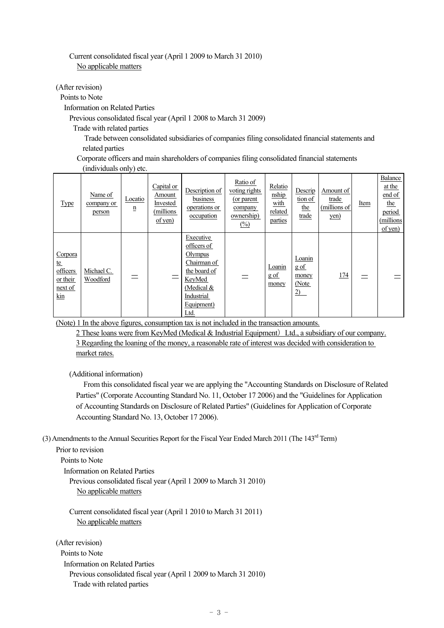## Current consolidated fiscal year (April 1 2009 to March 31 2010) No applicable matters

(After revision)

Points to Note

Information on Related Parties

Previous consolidated fiscal year (April 1 2008 to March 31 2009)

Trade with related parties

 Trade between consolidated subsidiaries of companies filing consolidated financial statements and related parties

Corporate officers and main shareholders of companies filing consolidated financial statements (individuals only) etc.

| <b>Type</b>                                                              | Name of<br>company or<br>person | Locatio<br>n | Capital or<br>Amount<br>Invested<br>(millions<br>$of$ yen) | Description of<br>business<br>operations or<br>occupation                                                                        | Ratio of<br>voting rights<br>(or parent)<br>company<br>ownership)<br>$\frac{(\%)}{(\%)}$ | Relatio<br>nship<br>with<br>related<br>parties | Descrip<br>tion of<br>the<br>trade       | Amount of<br>trade<br>(millions of<br>yen) | Item | <b>Balance</b><br>at the<br>end of<br><u>the</u><br>period<br>(millions)<br>$of$ yen) |
|--------------------------------------------------------------------------|---------------------------------|--------------|------------------------------------------------------------|----------------------------------------------------------------------------------------------------------------------------------|------------------------------------------------------------------------------------------|------------------------------------------------|------------------------------------------|--------------------------------------------|------|---------------------------------------------------------------------------------------|
| Corpora<br>te<br>officers<br>or their<br>next of<br>$\operatorname{kin}$ | Michael C.<br>Woodford          |              |                                                            | Executive<br>officers of<br>Olympus<br>Chairman of<br>the board of<br>KeyMed<br>(Medical $&$<br>Industrial<br>Equipment)<br>Ltd. |                                                                                          | Loanin<br>gof<br>money                         | Loanin<br>$g$ of<br>money<br>(Note<br>2) | 174                                        |      |                                                                                       |

(Note) 1 In the above figures, consumption tax is not included in the transaction amounts.

2 These loans were from KeyMed (Medical  $&$  Industrial Equipment) Ltd., a subsidiary of our company. 3 Regarding the loaning of the money, a reasonable rate of interest was decided with consideration to market rates.

(Additional information)

From this consolidated fiscal year we are applying the "Accounting Standards on Disclosure of Related Parties" (Corporate Accounting Standard No. 11, October 17 2006) and the "Guidelines for Application of Accounting Standards on Disclosure of Related Parties" (Guidelines for Application of Corporate Accounting Standard No. 13, October 17 2006).

(3) Amendments to the Annual Securities Report for the Fiscal Year Ended March 2011 (The 143<sup>rd</sup> Term)

```
Prior to revision
```
Points to Note

Information on Related Parties

Previous consolidated fiscal year (April 1 2009 to March 31 2010) No applicable matters

Current consolidated fiscal year (April 1 2010 to March 31 2011) No applicable matters

(After revision) Points to Note Information on Related Parties Previous consolidated fiscal year (April 1 2009 to March 31 2010) Trade with related parties